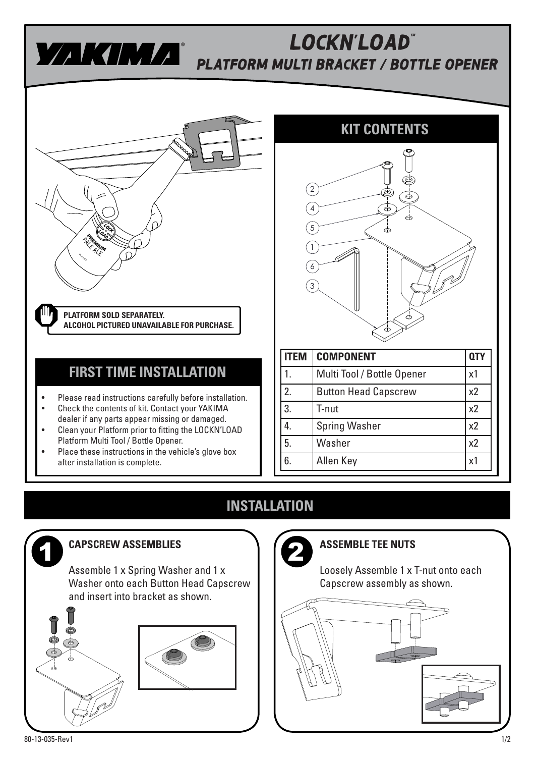

## **PLATFORM MULTI BRACKET / BOTTLE OPENER**  $\mathsf{L}$ OCKN' $\mathsf{L}$ OAD $^{\scriptscriptstyle\mathsf{m}}$



## **FIRST TIME INSTALLATION**

- Please read instructions carefully before installation. • Check the contents of kit. Contact your YAKIMA
- dealer if any parts appear missing or damaged. • Clean your Platform prior to fitting the LOCKN'LOAD
- Platform Multi Tool / Bottle Opener. • Place these instructions in the vehicle's glove box after installation is complete.



| ГFМ | <b>COMPONENT</b>            |                |
|-----|-----------------------------|----------------|
|     | Multi Tool / Bottle Opener  | x1             |
| 2.  | <b>Button Head Capscrew</b> | x <sub>2</sub> |
| 3.  | T-nut                       | x <sub>2</sub> |
|     | <b>Spring Washer</b>        | x2             |
| 5.  | Washer                      | x <sub>2</sub> |
| 6.  | Allen Key                   | x1             |

## **INSTALLATION**